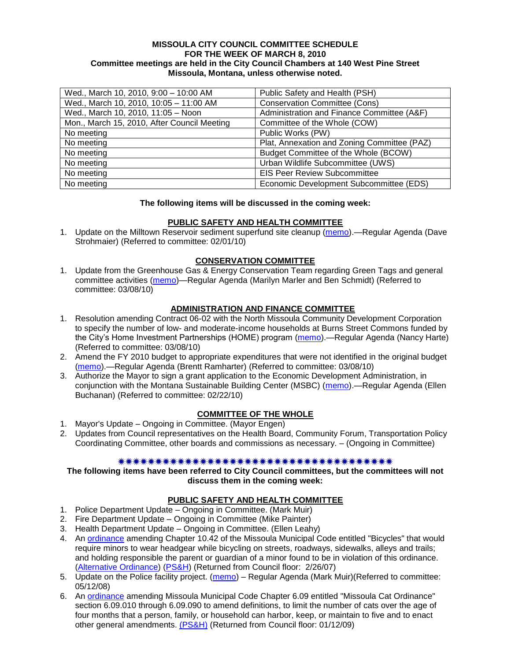#### **MISSOULA CITY COUNCIL COMMITTEE SCHEDULE FOR THE WEEK OF MARCH 8, 2010 Committee meetings are held in the City Council Chambers at 140 West Pine Street Missoula, Montana, unless otherwise noted.**

| Wed., March 10, 2010, 9:00 - 10:00 AM       | Public Safety and Health (PSH)              |
|---------------------------------------------|---------------------------------------------|
| Wed., March 10, 2010, 10:05 - 11:00 AM      | <b>Conservation Committee (Cons)</b>        |
| Wed., March 10, 2010, 11:05 - Noon          | Administration and Finance Committee (A&F)  |
| Mon., March 15, 2010, After Council Meeting | Committee of the Whole (COW)                |
| No meeting                                  | Public Works (PW)                           |
| No meeting                                  | Plat, Annexation and Zoning Committee (PAZ) |
| No meeting                                  | Budget Committee of the Whole (BCOW)        |
| No meeting                                  | Urban Wildlife Subcommittee (UWS)           |
| No meeting                                  | <b>EIS Peer Review Subcommittee</b>         |
| No meeting                                  | Economic Development Subcommittee (EDS)     |

#### **The following items will be discussed in the coming week:**

### **PUBLIC SAFETY AND HEALTH COMMITTEE**

1. Update on the Milltown Reservoir sediment superfund site cleanup [\(memo\)](http://www.ci.missoula.mt.us/DocumentView.aspx?DID=3069).—Regular Agenda (Dave Strohmaier) (Referred to committee: 02/01/10)

### **CONSERVATION COMMITTEE**

1. Update from the Greenhouse Gas & Energy Conservation Team regarding Green Tags and general committee activities [\(memo\)](http://www.ci.missoula.mt.us/DocumentView.aspx?DID=3269)—Regular Agenda (Marilyn Marler and Ben Schmidt) (Referred to committee: 03/08/10)

### **ADMINISTRATION AND FINANCE COMMITTEE**

- 1. Resolution amending Contract 06-02 with the North Missoula Community Development Corporation to specify the number of low- and moderate-income households at Burns Street Commons funded by the City's Home Investment Partnerships (HOME) program [\(memo\)](http://www.ci.missoula.mt.us/DocumentView.aspx?DID=3274).—Regular Agenda (Nancy Harte) (Referred to committee: 03/08/10)
- 2. Amend the FY 2010 budget to appropriate expenditures that were not identified in the original budget [\(memo\)](http://www.ci.missoula.mt.us/DocumentView.aspx?DID=3276).—Regular Agenda (Brentt Ramharter) (Referred to committee: 03/08/10)
- 3. Authorize the Mayor to sign a grant application to the Economic Development Administration, in conjunction with the Montana Sustainable Building Center (MSBC) [\(memo\)](http://www.ci.missoula.mt.us/DocumentView.aspx?DID=3183).—Regular Agenda (Ellen Buchanan) (Referred to committee: 02/22/10)

### **COMMITTEE OF THE WHOLE**

- 1. Mayor's Update Ongoing in Committee. (Mayor Engen)
- 2. Updates from Council representatives on the Health Board, Community Forum, Transportation Policy Coordinating Committee, other boards and commissions as necessary. – (Ongoing in Committee)

#### 

#### **The following items have been referred to City Council committees, but the committees will not discuss them in the coming week:**

### **PUBLIC SAFETY AND HEALTH COMMITTEE**

- 1. Police Department Update Ongoing in Committee. (Mark Muir)
- 2. Fire Department Update Ongoing in Committee (Mike Painter)
- 3. Health Department Update Ongoing in Committee. (Ellen Leahy)
- 4. An [ordinance](ftp://ftp.ci.missoula.mt.us/Packets/Council/2007/2007-02-05/07-01-31 Helmet and bikes psh.htm) amending Chapter 10.42 of the Missoula Municipal Code entitled "Bicycles" that would require minors to wear headgear while bicycling on streets, roadways, sidewalks, alleys and trails; and holding responsible the parent or guardian of a minor found to be in violation of this ordinance. [\(Alternative Ordinance\)](ftp://ftp.ci.missoula.mt.us/Packets/Council/2007/2007-02-26/07-02-19_Alternative_Helmet_and_bikes.htm) [\(PS&H\)](ftp://ftp.ci.missoula.mt.us/Packets/Council/2007/2007-02-05/070131psh.pdf) (Returned from Council floor: 2/26/07)
- 5. Update on the Police facility project. [\(memo\)](ftp://ftp.ci.missoula.mt.us/Packets/Council/2008/2008-05-12/Referrals/Buildingpresentationreferral.htm) Regular Agenda (Mark Muir)(Referred to committee: 05/12/08)
- 6. An [ordinance](ftp://ftp.ci.missoula.mt.us/Packets/Council/2008/2008-12-15/2008CatOrdinanceAmendment%5B1%5D.pdf) amending Missoula Municipal Code Chapter 6.09 entitled "Missoula Cat Ordinance" section 6.09.010 through 6.09.090 to amend definitions, to limit the number of cats over the age of four months that a person, family, or household can harbor, keep, or maintain to five and to enact other general amendments. [\(PS&H\)](ftp://ftp.ci.missoula.mt.us/Packets/Council/2008/2008-12-15/081210psh.pdf) (Returned from Council floor: 01/12/09)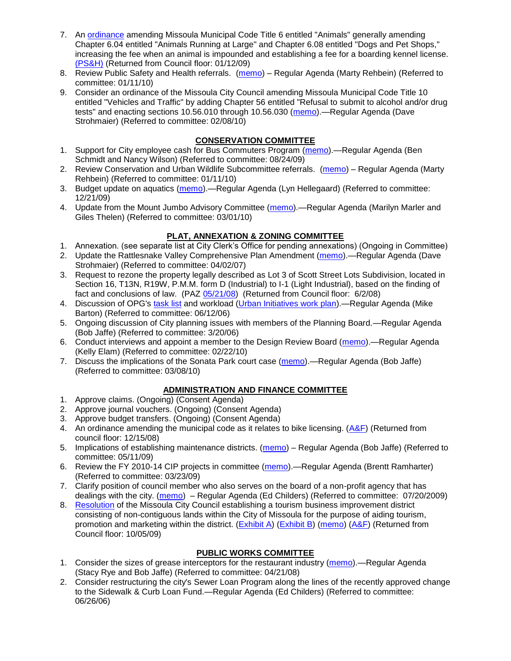- 7. An [ordinance](ftp://ftp.ci.missoula.mt.us/Packets/Council/2008/2008-12-15/DogOrdinance--PSHrevisions.pdf) amending Missoula Municipal Code Title 6 entitled "Animals" generally amending Chapter 6.04 entitled "Animals Running at Large" and Chapter 6.08 entitled "Dogs and Pet Shops," increasing the fee when an animal is impounded and establishing a fee for a boarding kennel license. [\(PS&H\)](ftp://ftp.ci.missoula.mt.us/Packets/Council/2008/2008-12-15/081210psh.pdf) (Returned from Council floor: 01/12/09)
- 8. Review Public Safety and Health referrals. [\(memo\)](http://www.ci.missoula.mt.us/DocumentView.aspx?DID=2933) Regular Agenda (Marty Rehbein) (Referred to committee: 01/11/10)
- 9. Consider an ordinance of the Missoula City Council amending Missoula Municipal Code Title 10 entitled "Vehicles and Traffic" by adding Chapter 56 entitled "Refusal to submit to alcohol and/or drug tests" and enacting sections 10.56.010 through 10.56.030 [\(memo\)](http://www.ci.missoula.mt.us/DocumentView.aspx?DID=3131).—Regular Agenda (Dave Strohmaier) (Referred to committee: 02/08/10)

# **CONSERVATION COMMITTEE**

- 1. Support for City employee cash for Bus Commuters Program [\(memo\)](http://www.ci.missoula.mt.us/DocumentView.aspx?DID=2127).—Regular Agenda (Ben Schmidt and Nancy Wilson) (Referred to committee: 08/24/09)
- 2. Review Conservation and Urban Wildlife Subcommittee referrals. [\(memo\)](http://www.ci.missoula.mt.us/DocumentView.aspx?DID=2933) Regular Agenda (Marty Rehbein) (Referred to committee: 01/11/10)
- 3. Budget update on aquatics [\(memo\)](http://www.ci.missoula.mt.us/DocumentView.aspx?DID=2864).—Regular Agenda (Lyn Hellegaard) (Referred to committee: 12/21/09)
- 4. Update from the Mount Jumbo Advisory Committee [\(memo\)](http://www.ci.missoula.mt.us/DocumentView.aspx?DID=3215).—Regular Agenda (Marilyn Marler and Giles Thelen) (Referred to committee: 03/01/10)

# **PLAT, ANNEXATION & ZONING COMMITTEE**

- 1. Annexation. (see separate list at City Clerk's Office for pending annexations) (Ongoing in Committee)
- 2. Update the Rattlesnake Valley Comprehensive Plan Amendment [\(memo\)](ftp://ftp.ci.missoula.mt.us/Packets/Council/2007/2007-04-02/Referrals/Rattlesnake_Plan_Update_referral.pdf).—Regular Agenda (Dave Strohmaier) (Referred to committee: 04/02/07)
- 3. Request to rezone the property legally described as Lot 3 of Scott Street Lots Subdivision, located in Section 16, T13N, R19W, P.M.M. form D (Industrial) to I-1 (Light Industrial), based on the finding of fact and conclusions of law. (PAZ [05/21/08\)](ftp://ftp.ci.missoula.mt.us/Packets/Council/2008/2008-06-02/080521paz.pdf) (Returned from Council floor: 6/2/08)
- 4. Discussion of OPG's [task list](ftp://ftp.ci.missoula.mt.us/Packets/Council/2008/2008-07-07/UITaskList.pdf) and workload [\(Urban Initiatives work plan\)](ftp://ftp.ci.missoula.mt.us/Packets/Council/2006/2006-06-12/Referrals/Urban_Init.htm).—Regular Agenda (Mike Barton) (Referred to committee: 06/12/06)
- 5. Ongoing discussion of City planning issues with members of the Planning Board.—Regular Agenda (Bob Jaffe) (Referred to committee: 3/20/06)
- 6. Conduct interviews and appoint a member to the Design Review Board [\(memo\)](http://www.ci.missoula.mt.us/DocumentView.aspx?DID=3168).—Regular Agenda (Kelly Elam) (Referred to committee: 02/22/10)
- 7. Discuss the implications of the Sonata Park court case [\(memo\)](http://www.ci.missoula.mt.us/DocumentView.aspx?DID=3268).—Regular Agenda (Bob Jaffe) (Referred to committee: 03/08/10)

# **ADMINISTRATION AND FINANCE COMMITTEE**

- 1. Approve claims. (Ongoing) (Consent Agenda)
- 2. Approve journal vouchers. (Ongoing) (Consent Agenda)
- 3. Approve budget transfers. (Ongoing) (Consent Agenda)
- 4. An ordinance amending the municipal code as it relates to bike licensing. [\(A&F\)](ftp://ftp.ci.missoula.mt.us/Packets/Council/2008/2008-12-15/081210af.pdf) (Returned from council floor: 12/15/08)
- 5. Implications of establishing maintenance districts. [\(memo\)](ftp://ftp.ci.missoula.mt.us/Packets/Council/2009/2009-05-11/Referrals/MaintenanceDistricts.pdf) Regular Agenda (Bob Jaffe) (Referred to committee: 05/11/09)
- 6. Review the FY 2010-14 CIP projects in committee [\(memo\)](ftp://ftp.ci.missoula.mt.us/Packets/Council/2009/2009-03-23/Referrals/RefAFCIPBudgetReviewFY2010-2014CIP.pdf).—Regular Agenda (Brentt Ramharter) (Referred to committee: 03/23/09)
- 7. Clarify position of council member who also serves on the board of a non-profit agency that has dealings with the city. [\(memo\)](http://www.ci.missoula.mt.us/DocumentView.aspx?DID=1840) – Regular Agenda (Ed Childers) (Referred to committee: 07/20/2009)
- 8. [Resolution](http://www.ci.missoula.mt.us/DocumentView.aspx?DID=2373) of the Missoula City Council establishing a tourism business improvement district consisting of non-contiguous lands within the City of Missoula for the purpose of aiding tourism, promotion and marketing within the district. [\(Exhibit A\)](http://www.ci.missoula.mt.us/DocumentView.aspx?DID=2090) [\(Exhibit B\)](http://www.ci.missoula.mt.us/DocumentView.aspx?DID=2374) [\(memo\)](http://www.ci.missoula.mt.us/DocumentView.aspx?DID=2097) [\(A&F\)](http://www.ci.missoula.mt.us/Archive.aspx?ADID=1172) (Returned from Council floor: 10/05/09)

# **PUBLIC WORKS COMMITTEE**

- 1. Consider the sizes of grease interceptors for the restaurant industry [\(memo\)](ftp://ftp.ci.missoula.mt.us/Packets/Council/2008/2008-04-21/Referrals/Industrial_waste_restaurants.pdf).—Regular Agenda (Stacy Rye and Bob Jaffe) (Referred to committee: 04/21/08)
- 2. Consider restructuring the city's Sewer Loan Program along the lines of the recently approved change to the Sidewalk & Curb Loan Fund.—Regular Agenda (Ed Childers) (Referred to committee: 06/26/06)